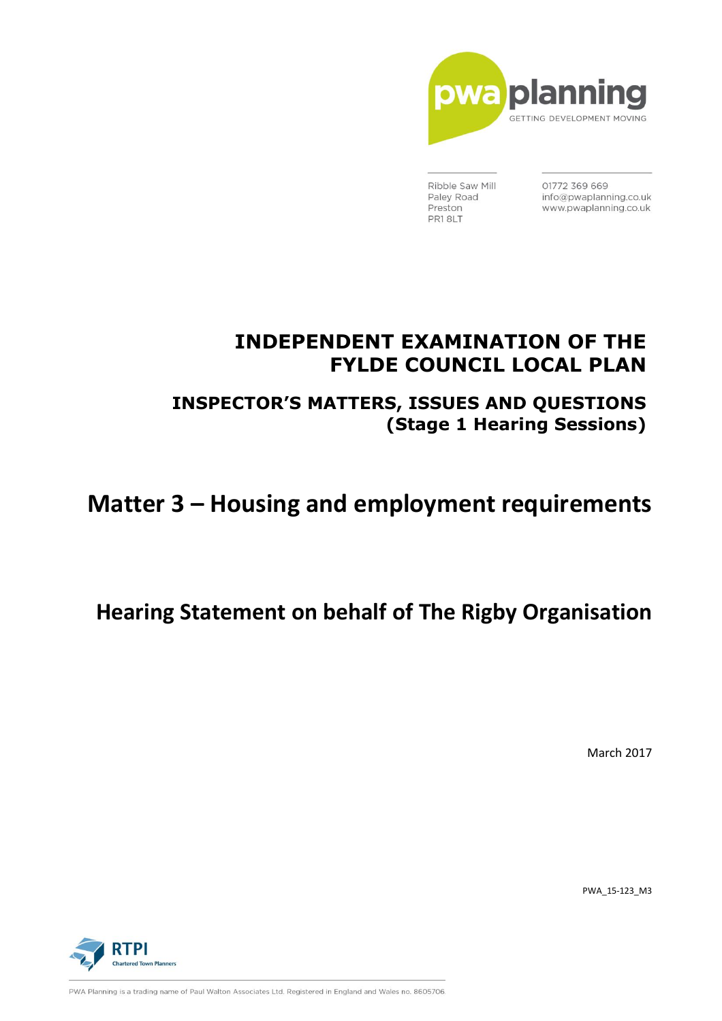

Ribble Saw Mill Paley Road Preston PR18LT

01772 369 669 info@pwaplanning.co.uk www.pwaplanning.co.uk

## **INDEPENDENT EXAMINATION OF THE FYLDE COUNCIL LOCAL PLAN**

**INSPECTOR'S MATTERS, ISSUES AND QUESTIONS (Stage 1 Hearing Sessions)**

# **Matter 3 – Housing and employment requirements**

## **Hearing Statement on behalf of The Rigby Organisation**

March 2017

PWA\_15-123\_M3



PWA Planning is a trading name of Paul Walton Associates Ltd. Registered in England and Wales no. 8605706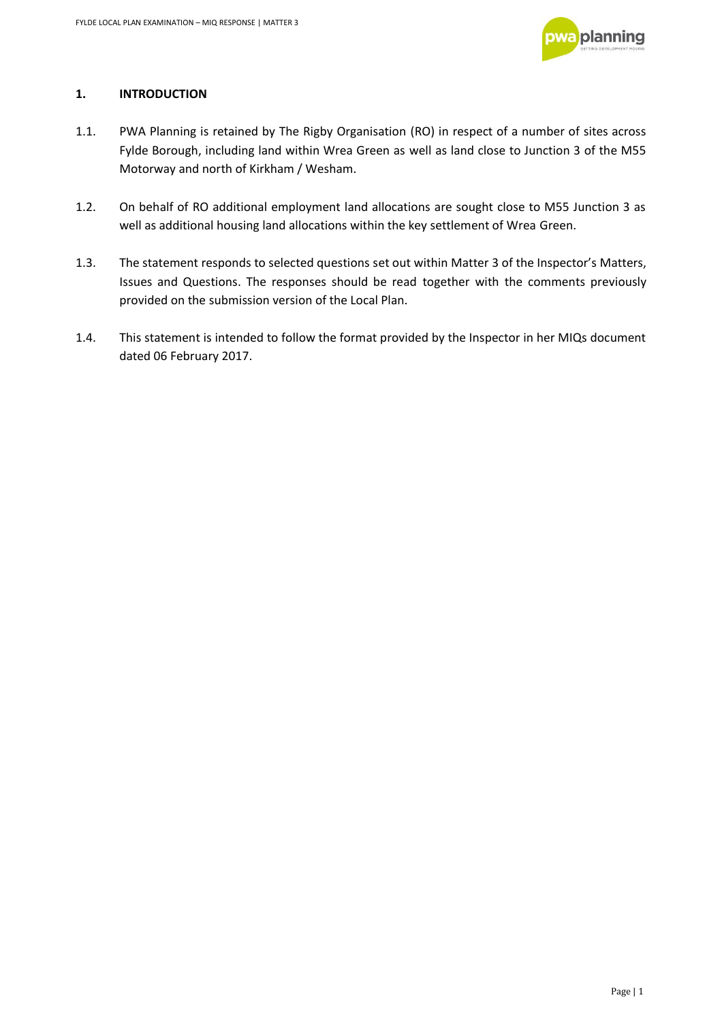

### **1. INTRODUCTION**

- 1.1. PWA Planning is retained by The Rigby Organisation (RO) in respect of a number of sites across Fylde Borough, including land within Wrea Green as well as land close to Junction 3 of the M55 Motorway and north of Kirkham / Wesham.
- 1.2. On behalf of RO additional employment land allocations are sought close to M55 Junction 3 as well as additional housing land allocations within the key settlement of Wrea Green.
- 1.3. The statement responds to selected questions set out within Matter 3 of the Inspector's Matters, Issues and Questions. The responses should be read together with the comments previously provided on the submission version of the Local Plan.
- 1.4. This statement is intended to follow the format provided by the Inspector in her MIQs document dated 06 February 2017.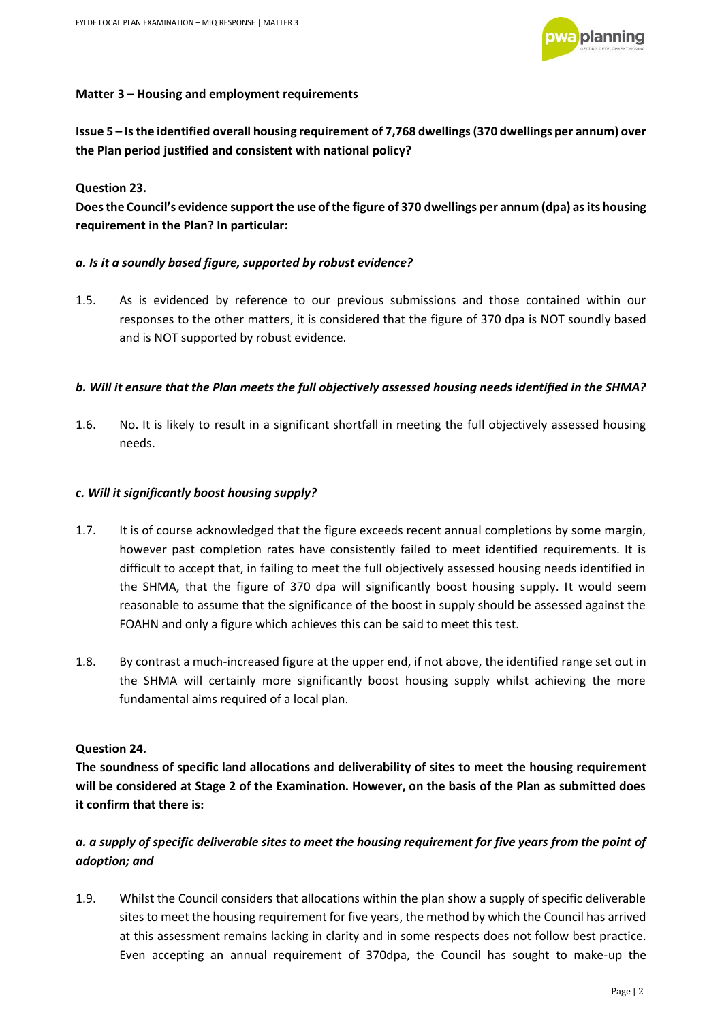

#### **Matter 3 – Housing and employment requirements**

**Issue 5 – Is the identified overall housing requirement of 7,768 dwellings (370 dwellings per annum) over the Plan period justified and consistent with national policy?** 

#### **Question 23.**

**Does the Council's evidence support the use of the figure of 370 dwellings per annum (dpa) as its housing requirement in the Plan? In particular:** 

#### *a. Is it a soundly based figure, supported by robust evidence?*

1.5. As is evidenced by reference to our previous submissions and those contained within our responses to the other matters, it is considered that the figure of 370 dpa is NOT soundly based and is NOT supported by robust evidence.

#### *b. Will it ensure that the Plan meets the full objectively assessed housing needs identified in the SHMA?*

1.6. No. It is likely to result in a significant shortfall in meeting the full objectively assessed housing needs.

#### *c. Will it significantly boost housing supply?*

- 1.7. It is of course acknowledged that the figure exceeds recent annual completions by some margin, however past completion rates have consistently failed to meet identified requirements. It is difficult to accept that, in failing to meet the full objectively assessed housing needs identified in the SHMA, that the figure of 370 dpa will significantly boost housing supply. It would seem reasonable to assume that the significance of the boost in supply should be assessed against the FOAHN and only a figure which achieves this can be said to meet this test.
- 1.8. By contrast a much-increased figure at the upper end, if not above, the identified range set out in the SHMA will certainly more significantly boost housing supply whilst achieving the more fundamental aims required of a local plan.

#### **Question 24.**

**The soundness of specific land allocations and deliverability of sites to meet the housing requirement will be considered at Stage 2 of the Examination. However, on the basis of the Plan as submitted does it confirm that there is:** 

## *a. a supply of specific deliverable sites to meet the housing requirement for five years from the point of adoption; and*

1.9. Whilst the Council considers that allocations within the plan show a supply of specific deliverable sites to meet the housing requirement for five years, the method by which the Council has arrived at this assessment remains lacking in clarity and in some respects does not follow best practice. Even accepting an annual requirement of 370dpa, the Council has sought to make-up the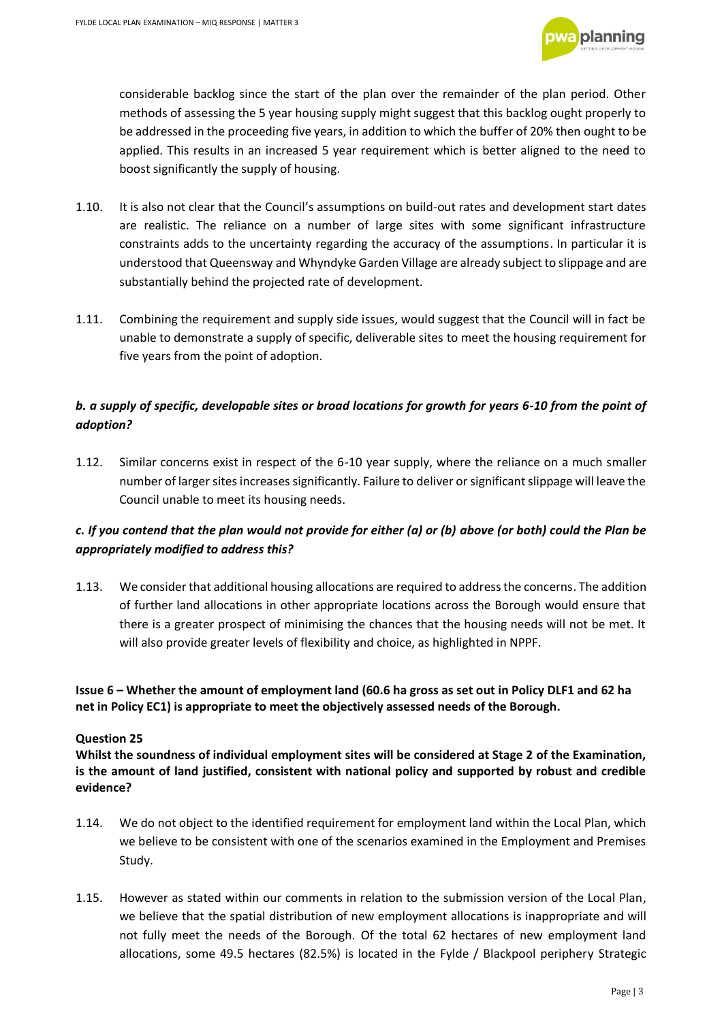

considerable backlog since the start of the plan over the remainder of the plan period. Other methods of assessing the 5 year housing supply might suggest that this backlog ought properly to be addressed in the proceeding five years, in addition to which the buffer of 20% then ought to be applied. This results in an increased 5 year requirement which is better aligned to the need to boost significantly the supply of housing.

- 1.10. It is also not clear that the Council's assumptions on build-out rates and development start dates are realistic. The reliance on a number of large sites with some significant infrastructure constraints adds to the uncertainty regarding the accuracy of the assumptions. In particular it is understood that Queensway and Whyndyke Garden Village are already subject to slippage and are substantially behind the projected rate of development.
- 1.11. Combining the requirement and supply side issues, would suggest that the Council will in fact be unable to demonstrate a supply of specific, deliverable sites to meet the housing requirement for five years from the point of adoption.

## *b. a supply of specific, developable sites or broad locations for growth for years 6-10 from the point of adoption?*

1.12. Similar concerns exist in respect of the 6-10 year supply, where the reliance on a much smaller number of larger sites increases significantly. Failure to deliver or significant slippage will leave the Council unable to meet its housing needs.

## *c. If you contend that the plan would not provide for either (a) or (b) above (or both) could the Plan be appropriately modified to address this?*

1.13. We consider that additional housing allocations are required to address the concerns. The addition of further land allocations in other appropriate locations across the Borough would ensure that there is a greater prospect of minimising the chances that the housing needs will not be met. It will also provide greater levels of flexibility and choice, as highlighted in NPPF.

**Issue 6 – Whether the amount of employment land (60.6 ha gross as set out in Policy DLF1 and 62 ha net in Policy EC1) is appropriate to meet the objectively assessed needs of the Borough.** 

#### **Question 25**

**Whilst the soundness of individual employment sites will be considered at Stage 2 of the Examination, is the amount of land justified, consistent with national policy and supported by robust and credible evidence?** 

- 1.14. We do not object to the identified requirement for employment land within the Local Plan, which we believe to be consistent with one of the scenarios examined in the Employment and Premises Study.
- 1.15. However as stated within our comments in relation to the submission version of the Local Plan, we believe that the spatial distribution of new employment allocations is inappropriate and will not fully meet the needs of the Borough. Of the total 62 hectares of new employment land allocations, some 49.5 hectares (82.5%) is located in the Fylde / Blackpool periphery Strategic